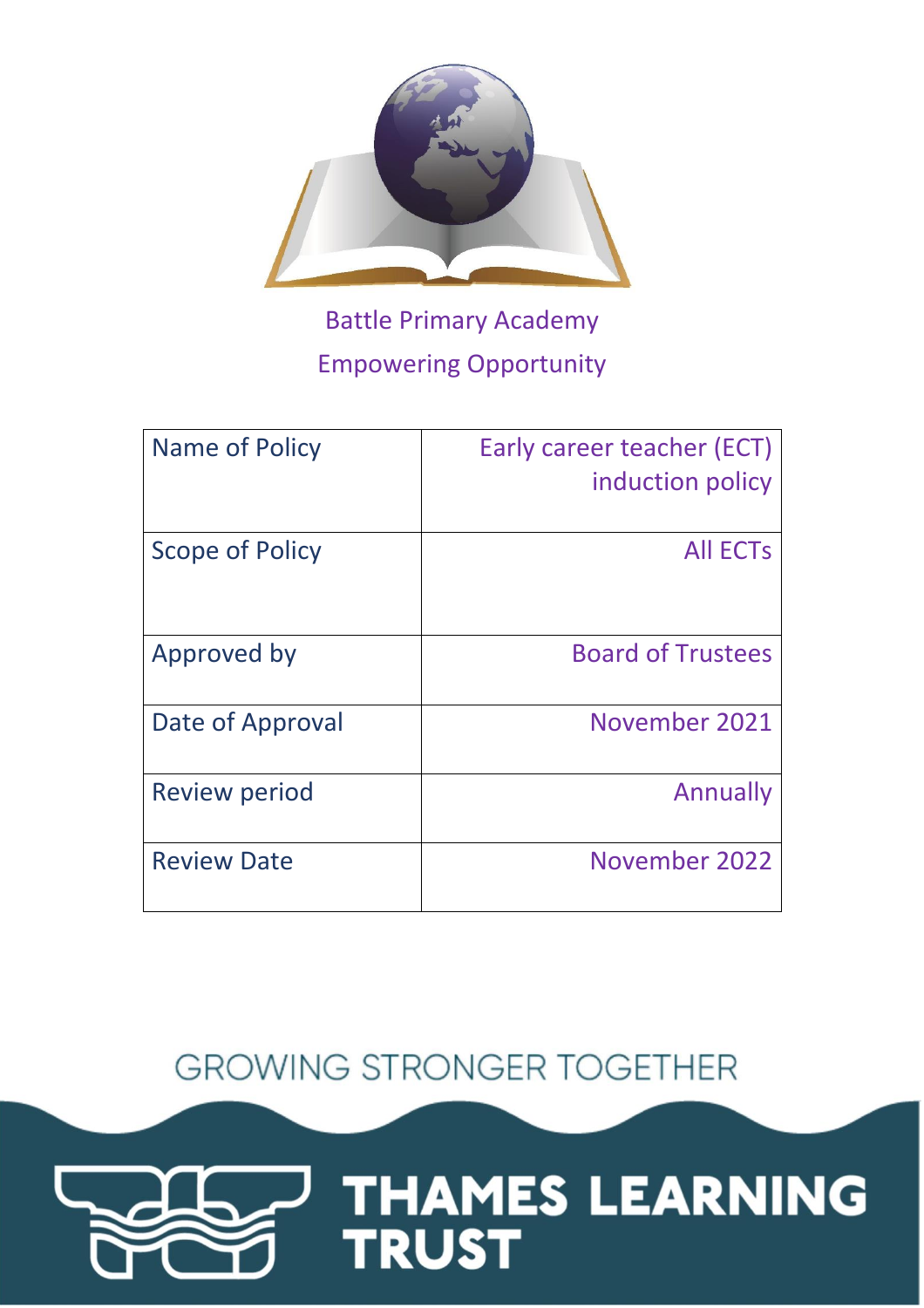

# Battle Primary Academy Empowering Opportunity

| Name of Policy       | Early career teacher (ECT)<br>induction policy |
|----------------------|------------------------------------------------|
| Scope of Policy      | <b>All ECTS</b>                                |
| Approved by          | <b>Board of Trustees</b>                       |
| Date of Approval     | November 2021                                  |
| <b>Review period</b> | Annually                                       |
| <b>Review Date</b>   | November 2022                                  |

**GROWING STRONGER TOGETHER** 

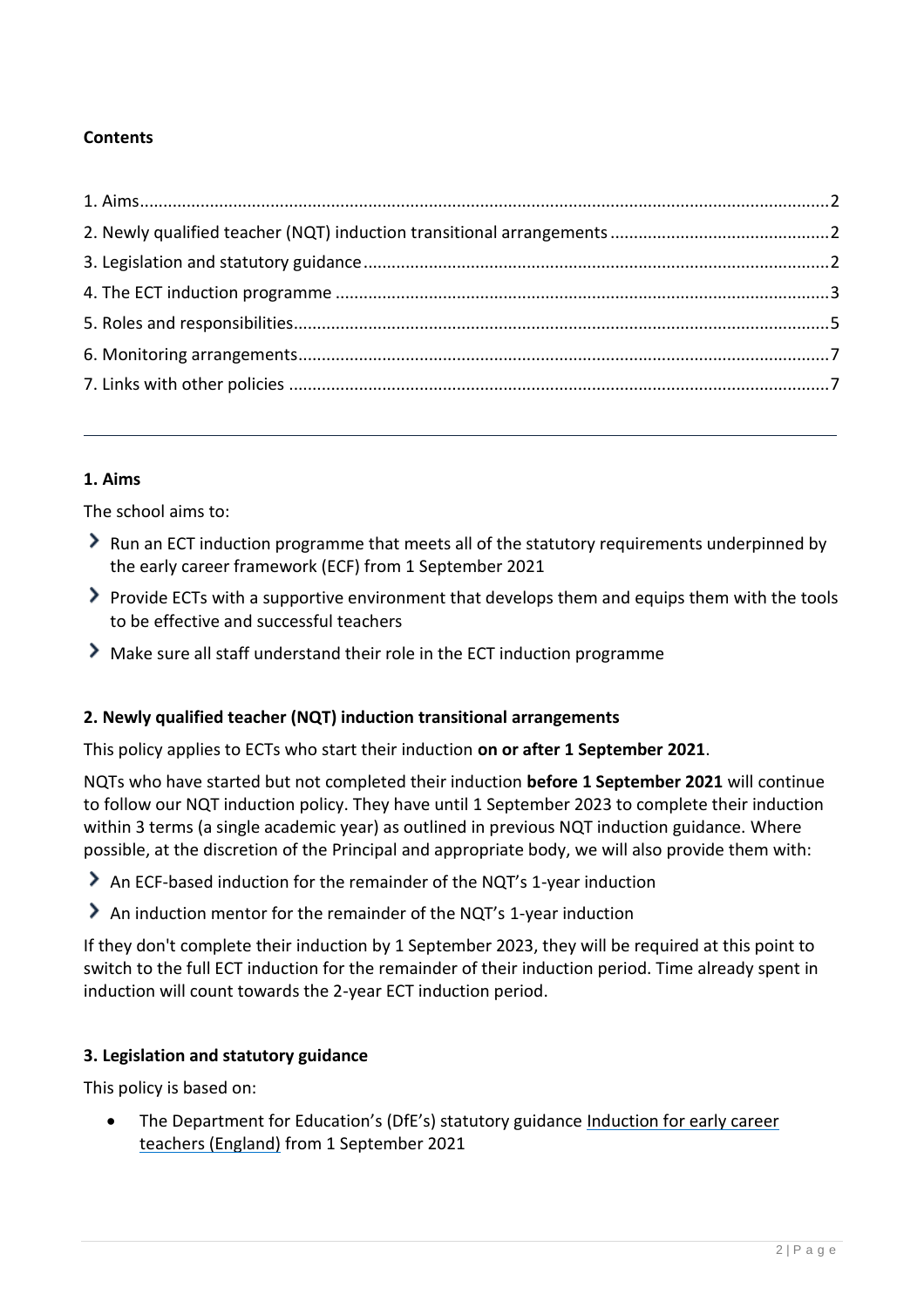# **Contents**

## <span id="page-1-0"></span>**1. Aims**

The school aims to:

- Run an ECT induction programme that meets all of the statutory requirements underpinned by the early career framework (ECF) from 1 September 2021
- Provide ECTs with a supportive environment that develops them and equips them with the tools to be effective and successful teachers
- Make sure all staff understand their role in the ECT induction programme

## <span id="page-1-1"></span>**2. Newly qualified teacher (NQT) induction transitional arrangements**

This policy applies to ECTs who start their induction **on or after 1 September 2021**.

NQTs who have started but not completed their induction **before 1 September 2021** will continue to follow our NQT induction policy. They have until 1 September 2023 to complete their induction within 3 terms (a single academic year) as outlined in previous NQT induction guidance. Where possible, at the discretion of the Principal and appropriate body, we will also provide them with:

An ECF-based induction for the remainder of the NQT's 1-year induction

An induction mentor for the remainder of the NQT's 1-year induction

If they don't complete their induction by 1 September 2023, they will be required at this point to switch to the full ECT induction for the remainder of their induction period. Time already spent in induction will count towards the 2-year ECT induction period.

## <span id="page-1-2"></span>**3. Legislation and statutory guidance**

This policy is based on:

 The Department for Education's (DfE's) statutory guidance [Induction for early career](https://www.gov.uk/government/publications/induction-for-early-career-teachers-england)  [teachers \(England\)](https://www.gov.uk/government/publications/induction-for-early-career-teachers-england) from 1 September 2021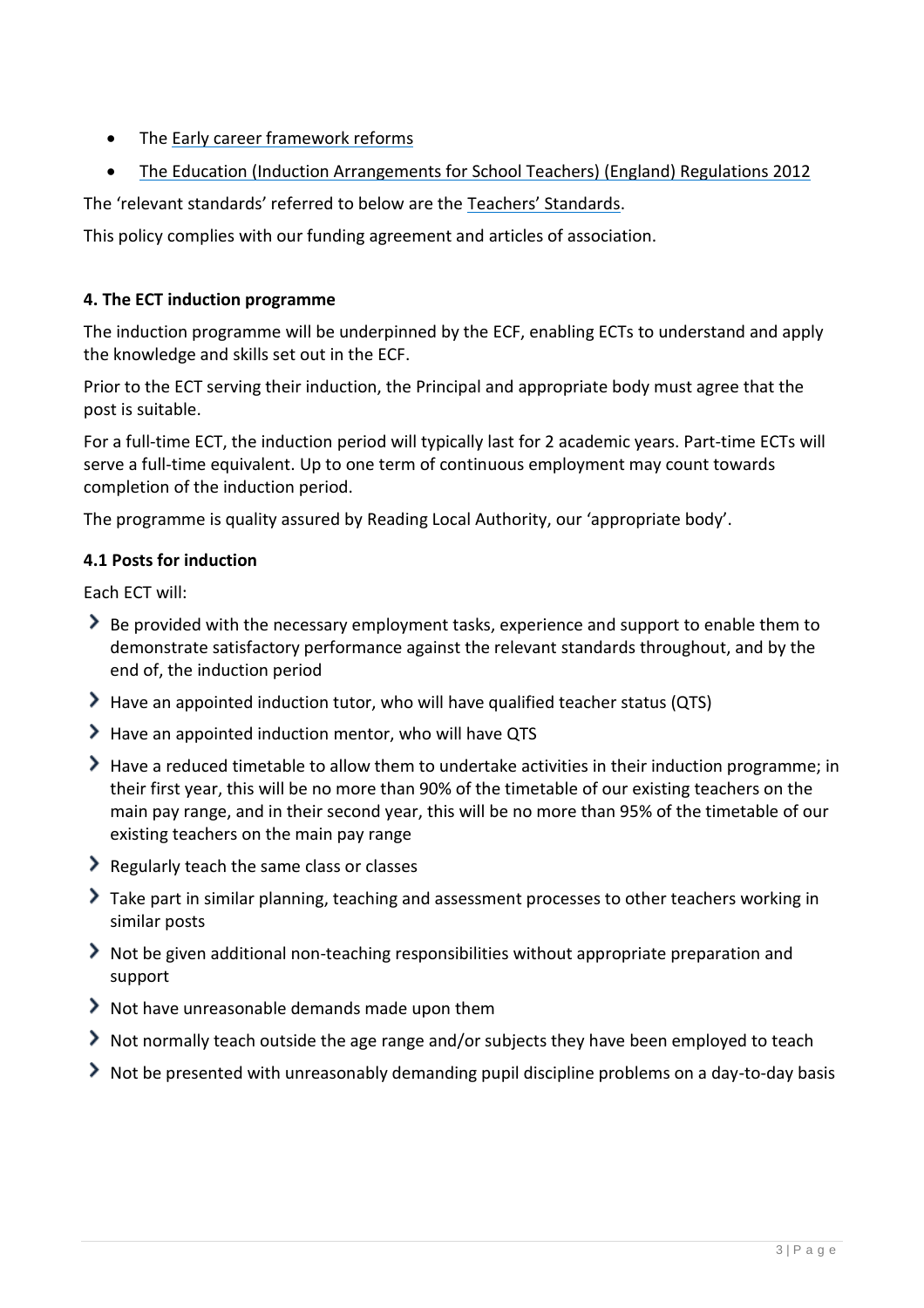- Th[e Early career framework reforms](https://www.gov.uk/government/collections/early-career-framework-reforms)
- [The Education \(Induction Arrangements for School Teachers\) \(England\) Regulations 2012](http://www.legislation.gov.uk/uksi/2012/1115/contents/made)

The 'relevant standards' referred to below are the [Teachers' Standards](https://www.gov.uk/government/publications/teachers-standards).

This policy complies with our funding agreement and articles of association.

## <span id="page-2-0"></span>**4. The ECT induction programme**

The induction programme will be underpinned by the ECF, enabling ECTs to understand and apply the knowledge and skills set out in the ECF.

Prior to the ECT serving their induction, the Principal and appropriate body must agree that the post is suitable.

For a full-time ECT, the induction period will typically last for 2 academic years. Part-time ECTs will serve a full-time equivalent. Up to one term of continuous employment may count towards completion of the induction period.

The programme is quality assured by Reading Local Authority, our 'appropriate body'.

## **4.1 Posts for induction**

Each ECT will:

- Be provided with the necessary employment tasks, experience and support to enable them to demonstrate satisfactory performance against the relevant standards throughout, and by the end of, the induction period
- Have an appointed induction tutor, who will have qualified teacher status (QTS)
- Have an appointed induction mentor, who will have QTS
- Have a reduced timetable to allow them to undertake activities in their induction programme; in their first year, this will be no more than 90% of the timetable of our existing teachers on the main pay range, and in their second year, this will be no more than 95% of the timetable of our existing teachers on the main pay range
- Regularly teach the same class or classes
- Take part in similar planning, teaching and assessment processes to other teachers working in similar posts
- Not be given additional non-teaching responsibilities without appropriate preparation and support
- Not have unreasonable demands made upon them
- Not normally teach outside the age range and/or subjects they have been employed to teach
- Not be presented with unreasonably demanding pupil discipline problems on a day-to-day basis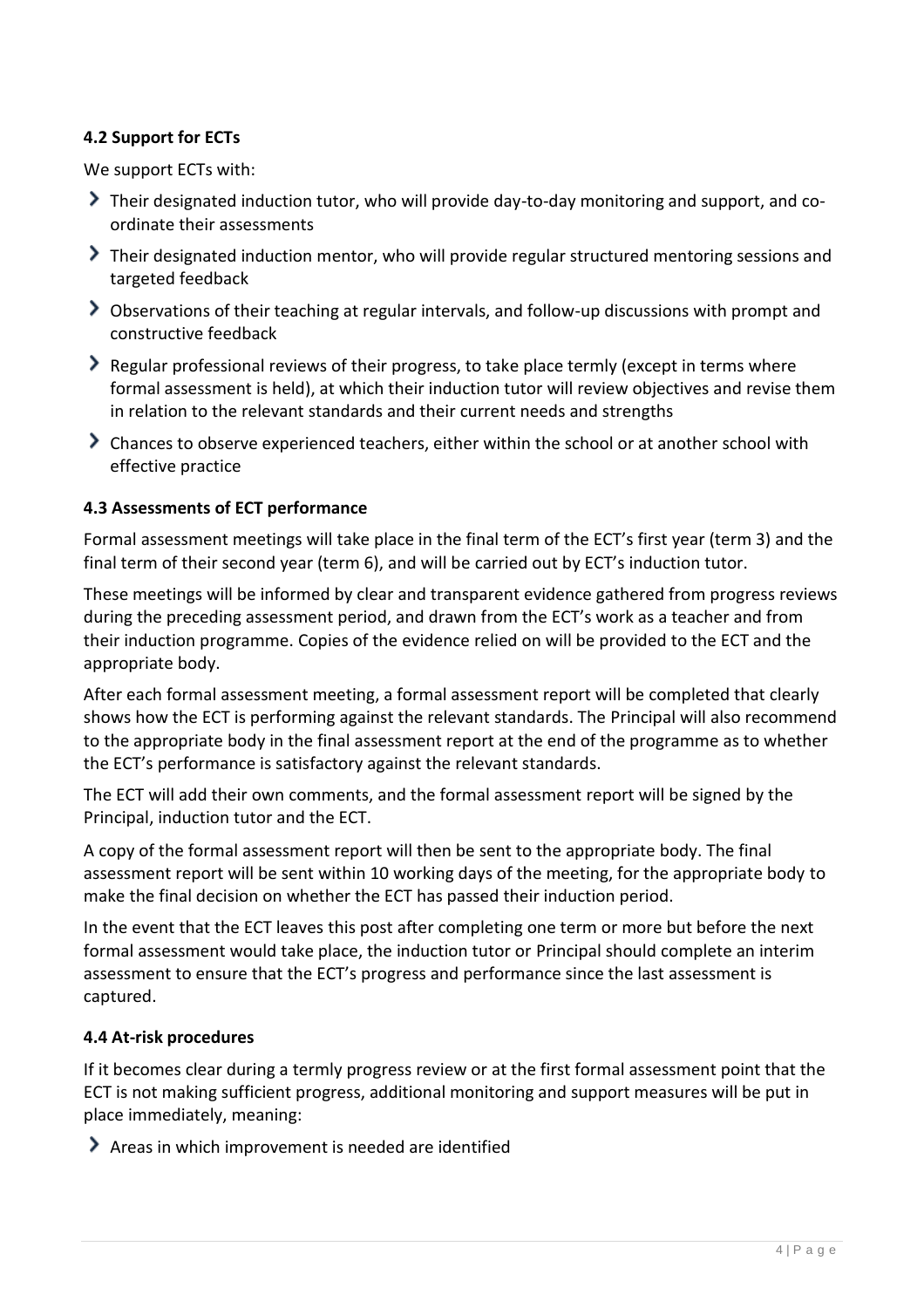# **4.2 Support for ECTs**

We support ECTs with:

- Their designated induction tutor, who will provide day-to-day monitoring and support, and coordinate their assessments
- Their designated induction mentor, who will provide regular structured mentoring sessions and targeted feedback
- Observations of their teaching at regular intervals, and follow-up discussions with prompt and constructive feedback
- Regular professional reviews of their progress, to take place termly (except in terms where formal assessment is held), at which their induction tutor will review objectives and revise them in relation to the relevant standards and their current needs and strengths
- Chances to observe experienced teachers, either within the school or at another school with effective practice

#### **4.3 Assessments of ECT performance**

Formal assessment meetings will take place in the final term of the ECT's first year (term 3) and the final term of their second year (term 6), and will be carried out by ECT's induction tutor.

These meetings will be informed by clear and transparent evidence gathered from progress reviews during the preceding assessment period, and drawn from the ECT's work as a teacher and from their induction programme. Copies of the evidence relied on will be provided to the ECT and the appropriate body.

After each formal assessment meeting, a formal assessment report will be completed that clearly shows how the ECT is performing against the relevant standards. The Principal will also recommend to the appropriate body in the final assessment report at the end of the programme as to whether the ECT's performance is satisfactory against the relevant standards.

The ECT will add their own comments, and the formal assessment report will be signed by the Principal, induction tutor and the ECT.

A copy of the formal assessment report will then be sent to the appropriate body. The final assessment report will be sent within 10 working days of the meeting, for the appropriate body to make the final decision on whether the ECT has passed their induction period.

In the event that the ECT leaves this post after completing one term or more but before the next formal assessment would take place, the induction tutor or Principal should complete an interim assessment to ensure that the ECT's progress and performance since the last assessment is captured.

#### **4.4 At-risk procedures**

If it becomes clear during a termly progress review or at the first formal assessment point that the ECT is not making sufficient progress, additional monitoring and support measures will be put in place immediately, meaning:

Areas in which improvement is needed are identified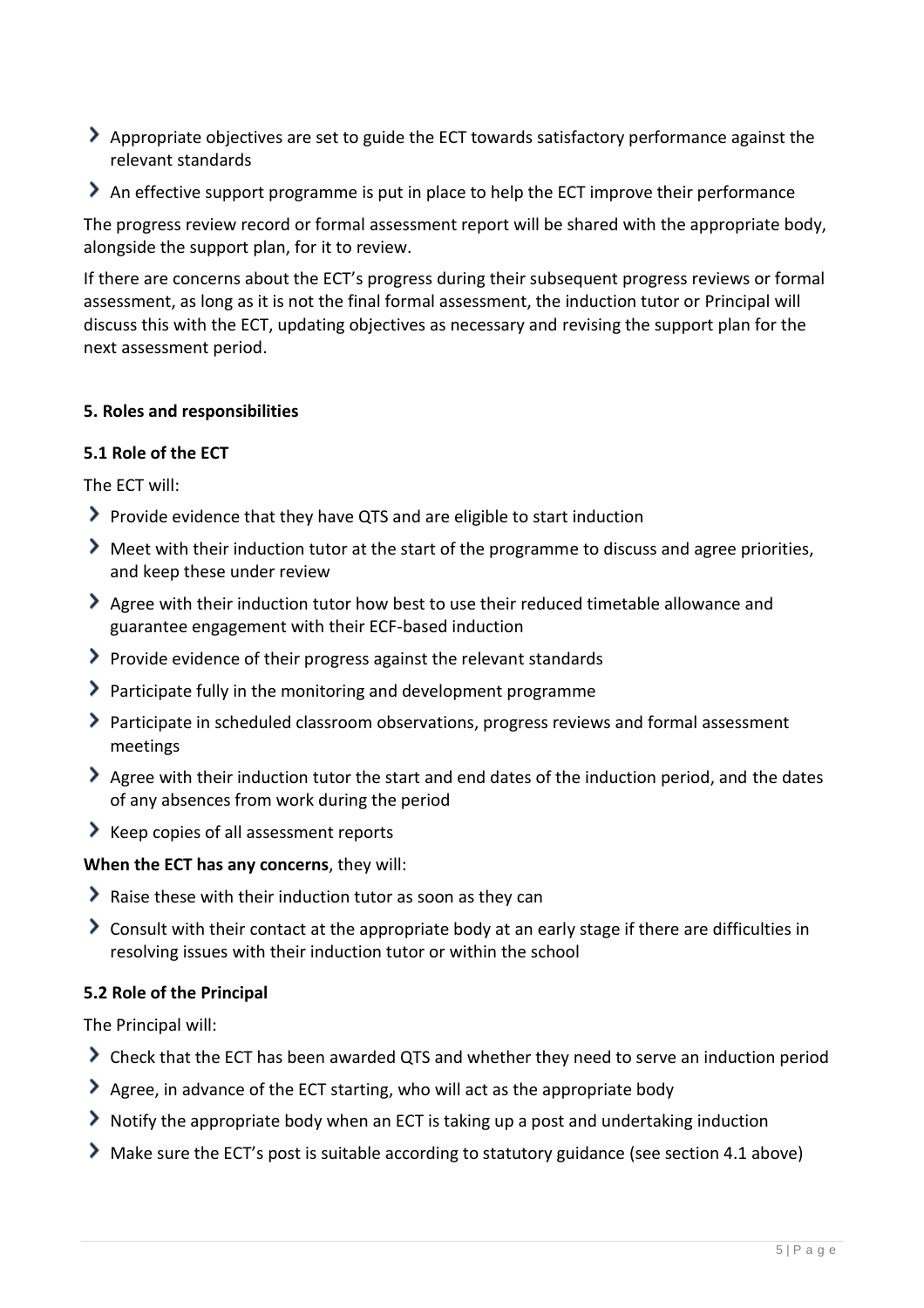- Appropriate objectives are set to guide the ECT towards satisfactory performance against the relevant standards
- An effective support programme is put in place to help the ECT improve their performance

The progress review record or formal assessment report will be shared with the appropriate body, alongside the support plan, for it to review.

If there are concerns about the ECT's progress during their subsequent progress reviews or formal assessment, as long as it is not the final formal assessment, the induction tutor or Principal will discuss this with the ECT, updating objectives as necessary and revising the support plan for the next assessment period.

#### <span id="page-4-0"></span>**5. Roles and responsibilities**

#### **5.1 Role of the ECT**

The ECT will:

- Provide evidence that they have QTS and are eligible to start induction
- Meet with their induction tutor at the start of the programme to discuss and agree priorities, and keep these under review
- Agree with their induction tutor how best to use their reduced timetable allowance and guarantee engagement with their ECF-based induction
- $\blacktriangleright$  Provide evidence of their progress against the relevant standards
- Participate fully in the monitoring and development programme
- Participate in scheduled classroom observations, progress reviews and formal assessment meetings
- Agree with their induction tutor the start and end dates of the induction period, and the dates of any absences from work during the period
- $\blacktriangleright$  Keep copies of all assessment reports

## **When the ECT has any concerns**, they will:

- Raise these with their induction tutor as soon as they can
- Consult with their contact at the appropriate body at an early stage if there are difficulties in resolving issues with their induction tutor or within the school

#### **5.2 Role of the Principal**

The Principal will:

- Check that the ECT has been awarded QTS and whether they need to serve an induction period
- Agree, in advance of the ECT starting, who will act as the appropriate body
- Notify the appropriate body when an ECT is taking up a post and undertaking induction
- Make sure the ECT's post is suitable according to statutory guidance (see section 4.1 above)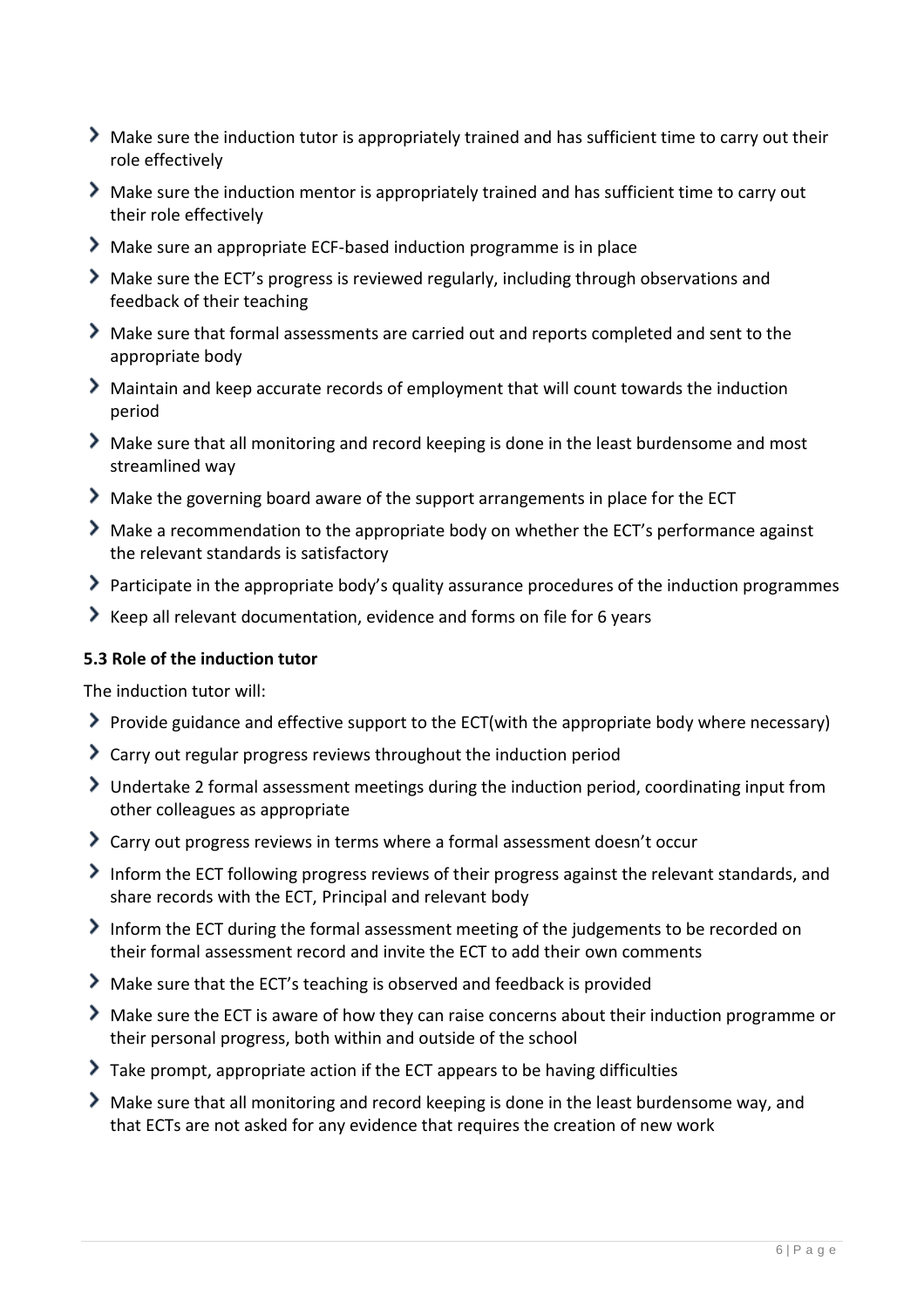- Make sure the induction tutor is appropriately trained and has sufficient time to carry out their role effectively
- Make sure the induction mentor is appropriately trained and has sufficient time to carry out their role effectively
- Make sure an appropriate ECF-based induction programme is in place
- Make sure the ECT's progress is reviewed regularly, including through observations and feedback of their teaching
- Make sure that formal assessments are carried out and reports completed and sent to the appropriate body
- Maintain and keep accurate records of employment that will count towards the induction period
- Make sure that all monitoring and record keeping is done in the least burdensome and most streamlined way
- Make the governing board aware of the support arrangements in place for the ECT
- Make a recommendation to the appropriate body on whether the ECT's performance against the relevant standards is satisfactory
- Participate in the appropriate body's quality assurance procedures of the induction programmes
- Keep all relevant documentation, evidence and forms on file for 6 years

#### **5.3 Role of the induction tutor**

The induction tutor will:

- Provide guidance and effective support to the ECT(with the appropriate body where necessary)
- Carry out regular progress reviews throughout the induction period
- Undertake 2 formal assessment meetings during the induction period, coordinating input from other colleagues as appropriate
- Carry out progress reviews in terms where a formal assessment doesn't occur
- Inform the ECT following progress reviews of their progress against the relevant standards, and share records with the ECT, Principal and relevant body
- Inform the ECT during the formal assessment meeting of the judgements to be recorded on their formal assessment record and invite the ECT to add their own comments
- Make sure that the ECT's teaching is observed and feedback is provided
- Make sure the ECT is aware of how they can raise concerns about their induction programme or their personal progress, both within and outside of the school
- Take prompt, appropriate action if the ECT appears to be having difficulties
- Make sure that all monitoring and record keeping is done in the least burdensome way, and that ECTs are not asked for any evidence that requires the creation of new work